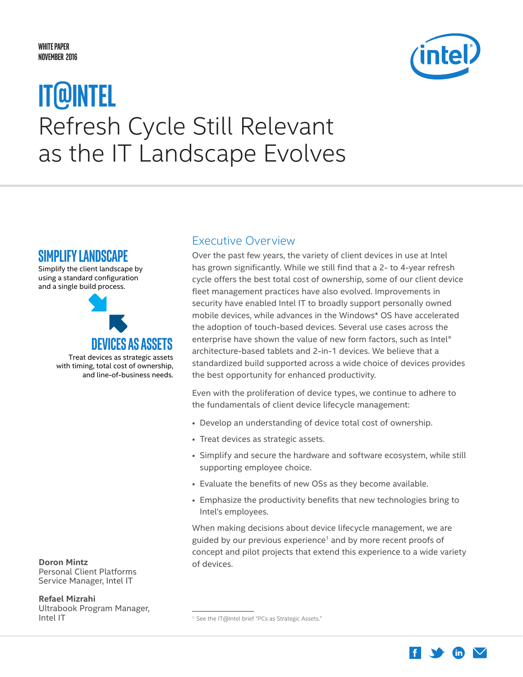#### <span id="page-0-0"></span>**White Paper NOVEMBER 2016**

# Refresh Cycle Still Relevant as the IT Landscape Evolves **IT@Intel**



### **SiMPliFY laNDSCaPe**

Simplify the client landscape by using a standard configuration and a single build process.



**Doron Mintz** Personal Client Platforms Service Manager, Intel IT

**Refael Mizrahi** Ultrabook Program Manager, Intel IT

### Executive Overview

Over the past few years, the variety of client devices in use at Intel has grown significantly. While we still find that a 2- to 4-year refresh cycle offers the best total cost of ownership, some of our client device fleet management practices have also evolved. Improvements in security have enabled Intel IT to broadly support personally owned mobile devices, while advances in the Windows\* OS have accelerated the adoption of touch-based devices. Several use cases across the enterprise have shown the value of new form factors, such as Intel® architecture-based tablets and 2-in-1 devices. We believe that a standardized build supported across a wide choice of devices provides the best opportunity for enhanced productivity.

Even with the proliferation of device types, we continue to adhere to the fundamentals of client device lifecycle management:

- Develop an understanding of device total cost of ownership.
- Treat devices as strategic assets.
- Simplify and secure the hardware and software ecosystem, while still supporting employee choice.
- Evaluate the benefits of new OSs as they become available.
- Emphasize the productivity benefits that new technologies bring to Intel's employees.

When making decisions about device lifecycle management, we are guided by our previous experience<sup>1</sup> and by more recent proofs of concept and pilot projects that extend this experience to a wide variety of devices.



<sup>&</sup>lt;sup>1</sup> See the IT@Intel brief "PCs as Strategic Assets."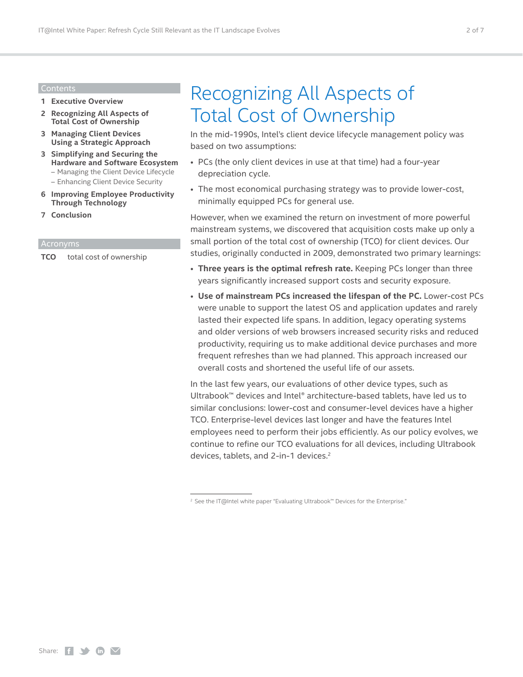#### Contents

- **1 [Executive Overview](#page-0-0)**
- **2 Recognizing All Aspects of Total Cost of Ownership**
- **3 [Managing Client Devices](#page-2-0)  [Using a Strategic Approach](#page-2-0)**
- **3 [Simplifying and Securing the](#page-2-0)  [Hardware and Software Ecosystem](#page-2-0)** – [Managing the Client Device Lifecycle](#page-3-0) 
	- [Enhancing Client Device Security](#page-4-0)
- **6 [Improving Employee Productivity](#page-5-0)  [Through Technology](#page-5-0)**
- **7 [Conclusion](#page-6-0)**

**TCO** total cost of ownership

### Recognizing All Aspects of Total Cost of Ownership

In the mid-1990s, Intel's client device lifecycle management policy was based on two assumptions:

- PCs (the only client devices in use at that time) had a four-year depreciation cycle.
- The most economical purchasing strategy was to provide lower-cost, minimally equipped PCs for general use.

However, when we examined the return on investment of more powerful mainstream systems, we discovered that acquisition costs make up only a small portion of the total cost of ownership (TCO) for client devices. Our studies, originally conducted in 2009, demonstrated two primary learnings:

- **Three years is the optimal refresh rate.** Keeping PCs longer than three years significantly increased support costs and security exposure.
- **Use of mainstream PCs increased the lifespan of the PC.** Lower-cost PCs were unable to support the latest OS and application updates and rarely lasted their expected life spans. In addition, legacy operating systems and older versions of web browsers increased security risks and reduced productivity, requiring us to make additional device purchases and more frequent refreshes than we had planned. This approach increased our overall costs and shortened the useful life of our assets.

In the last few years, our evaluations of other device types, such as Ultrabook™ devices and Intel® architecture-based tablets, have led us to similar conclusions: lower-cost and consumer-level devices have a higher TCO. Enterprise-level devices last longer and have the features Intel employees need to perform their jobs efficiently. As our policy evolves, we continue to refine our TCO evaluations for all devices, including Ultrabook devices, tablets, and 2-in-1 devices.<sup>2</sup>

<sup>2</sup> See the IT@Intel white paper "Evaluating Ultrabook™ Devices for the Enterprise."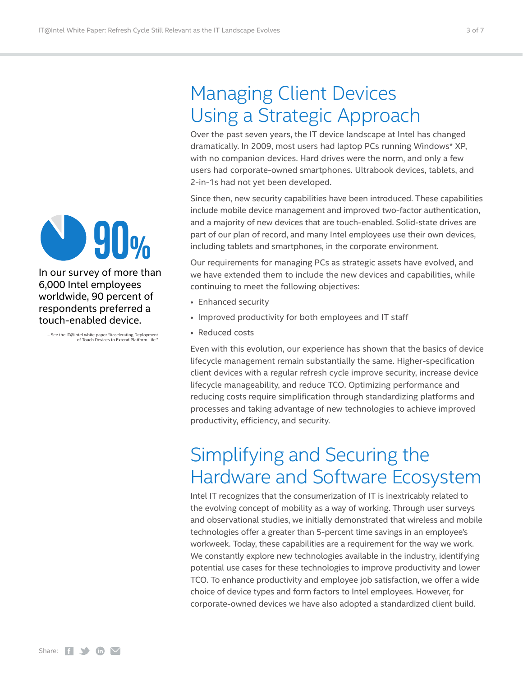

In our survey of more than 6,000 Intel employees worldwide, 90 percent of respondents preferred a touch-enabled device.

– See the IT@Intel white paper "Accelerating Deployment of Touch Devices to Extend Platform Life."

## <span id="page-2-0"></span>Managing Client Devices Using a Strategic Approach

Over the past seven years, the IT device landscape at Intel has changed dramatically. In 2009, most users had laptop PCs running Windows\* XP, with no companion devices. Hard drives were the norm, and only a few users had corporate-owned smartphones. Ultrabook devices, tablets, and 2-in-1s had not yet been developed.

Since then, new security capabilities have been introduced. These capabilities include mobile device management and improved two-factor authentication, and a majority of new devices that are touch-enabled. Solid-state drives are part of our plan of record, and many Intel employees use their own devices, including tablets and smartphones, in the corporate environment.

Our requirements for managing PCs as strategic assets have evolved, and we have extended them to include the new devices and capabilities, while continuing to meet the following objectives:

- Enhanced security
- Improved productivity for both employees and IT staff
- Reduced costs

Even with this evolution, our experience has shown that the basics of device lifecycle management remain substantially the same. Higher-specification client devices with a regular refresh cycle improve security, increase device lifecycle manageability, and reduce TCO. Optimizing performance and reducing costs require simplification through standardizing platforms and processes and taking advantage of new technologies to achieve improved productivity, efficiency, and security.

### Simplifying and Securing the Hardware and Software Ecosystem

Intel IT recognizes that the consumerization of IT is inextricably related to the evolving concept of mobility as a way of working. Through user surveys and observational studies, we initially demonstrated that wireless and mobile technologies offer a greater than 5-percent time savings in an employee's workweek. Today, these capabilities are a requirement for the way we work. We constantly explore new technologies available in the industry, identifying potential use cases for these technologies to improve productivity and lower TCO. To enhance productivity and employee job satisfaction, we offer a wide choice of device types and form factors to Intel employees. However, for corporate-owned devices we have also adopted a standardized client build.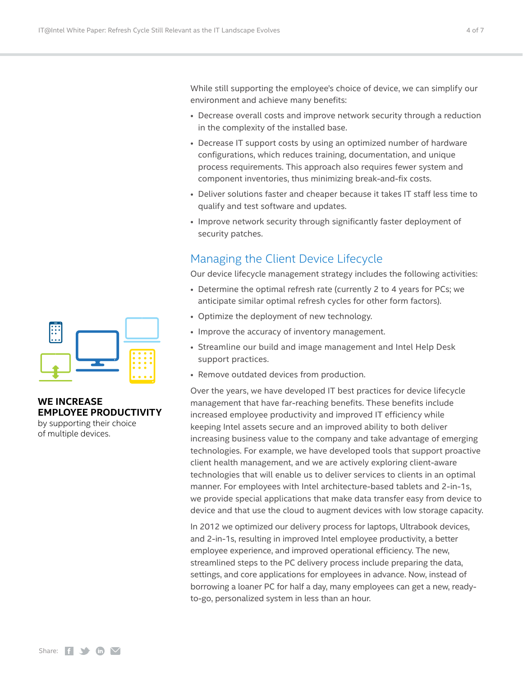<span id="page-3-0"></span>While still supporting the employee's choice of device, we can simplify our environment and achieve many benefits:

- Decrease overall costs and improve network security through a reduction in the complexity of the installed base.
- Decrease IT support costs by using an optimized number of hardware configurations, which reduces training, documentation, and unique process requirements. This approach also requires fewer system and component inventories, thus minimizing break-and-fix costs.
- Deliver solutions faster and cheaper because it takes IT staff less time to qualify and test software and updates.
- Improve network security through significantly faster deployment of security patches.

### Managing the Client Device Lifecycle

Our device lifecycle management strategy includes the following activities:

- Determine the optimal refresh rate (currently 2 to 4 years for PCs; we anticipate similar optimal refresh cycles for other form factors).
- Optimize the deployment of new technology.
- Improve the accuracy of inventory management.
- Streamline our build and image management and Intel Help Desk support practices.
- Remove outdated devices from production.

Over the years, we have developed IT best practices for device lifecycle management that have far-reaching benefits. These benefits include increased employee productivity and improved IT efficiency while keeping Intel assets secure and an improved ability to both deliver increasing business value to the company and take advantage of emerging technologies. For example, we have developed tools that support proactive client health management, and we are actively exploring client-aware technologies that will enable us to deliver services to clients in an optimal manner. For employees with Intel architecture-based tablets and 2-in-1s, we provide special applications that make data transfer easy from device to device and that use the cloud to augment devices with low storage capacity.

In 2012 we optimized our delivery process for laptops, Ultrabook devices, and 2-in-1s, resulting in improved Intel employee productivity, a better employee experience, and improved operational efficiency. The new, streamlined steps to the PC delivery process include preparing the data, settings, and core applications for employees in advance. Now, instead of borrowing a loaner PC for half a day, many employees can get a new, readyto-go, personalized system in less than an hour.



#### **WE INCREASE EMPLOYEE PRODUCTIVITY**

by supporting their choice of multiple devices.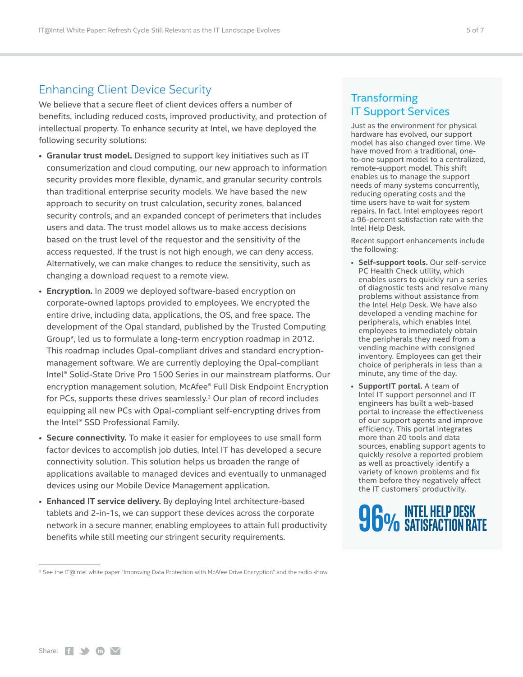#### <span id="page-4-0"></span>Enhancing Client Device Security

We believe that a secure fleet of client devices offers a number of benefits, including reduced costs, improved productivity, and protection of intellectual property. To enhance security at Intel, we have deployed the following security solutions:

- **Granular trust model.** Designed to support key initiatives such as IT consumerization and cloud computing, our new approach to information security provides more flexible, dynamic, and granular security controls than traditional enterprise security models. We have based the new approach to security on trust calculation, security zones, balanced security controls, and an expanded concept of perimeters that includes users and data. The trust model allows us to make access decisions based on the trust level of the requestor and the sensitivity of the access requested. If the trust is not high enough, we can deny access. Alternatively, we can make changes to reduce the sensitivity, such as changing a download request to a remote view.
- **Encryption.** In 2009 we deployed software-based encryption on corporate-owned laptops provided to employees. We encrypted the entire drive, including data, applications, the OS, and free space. The development of the Opal standard, published by the Trusted Computing Group\*, led us to formulate a long-term encryption roadmap in 2012. This roadmap includes Opal-compliant drives and standard encryptionmanagement software. We are currently deploying the Opal-compliant Intel® Solid-State Drive Pro 1500 Series in our mainstream platforms. Our encryption management solution, McAfee® Full Disk Endpoint Encryption for PCs, supports these drives seamlessly.<sup>3</sup> Our plan of record includes equipping all new PCs with Opal-compliant self-encrypting drives from the Intel® SSD Professional Family.
- **Secure connectivity.** To make it easier for employees to use small form factor devices to accomplish job duties, Intel IT has developed a secure connectivity solution. This solution helps us broaden the range of applications available to managed devices and eventually to unmanaged devices using our Mobile Device Management application.
- **Enhanced IT service delivery.** By deploying Intel architecture-based tablets and 2-in-1s, we can support these devices across the corporate network in a secure manner, enabling employees to attain full productivity benefits while still meeting our stringent security requirements.

#### **Transforming** IT Support Services

Just as the environment for physical hardware has evolved, our support model has also changed over time. We have moved from a traditional, oneto-one support model to a centralized, remote-support model. This shift enables us to manage the support needs of many systems concurrently, reducing operating costs and the time users have to wait for system repairs. In fact, Intel employees report a 96-percent satisfaction rate with the Intel Help Desk.

Recent support enhancements include the following:

- **Self-support tools.** Our self-service PC Health Check utility, which enables users to quickly run a series of diagnostic tests and resolve many problems without assistance from the Intel Help Desk. We have also developed a vending machine for peripherals, which enables Intel employees to immediately obtain the peripherals they need from a vending machine with consigned inventory. Employees can get their choice of peripherals in less than a minute, any time of the day.
- **SupportIT portal.** A team of Intel IT support personnel and IT engineers has built a web-based portal to increase the effectiveness of our support agents and improve efficiency. This portal integrates more than 20 tools and data sources, enabling support agents to quickly resolve a reported problem as well as proactively identify a variety of known problems and fix them before they negatively affect the IT customers' productivity.



<sup>3</sup> See the IT@Intel white paper "Improving Data Protection with McAfee Drive Encryption" and the radio show.

Share:  $f \rightarrow \mathbf{in}$   $\mathbf{\nabla}$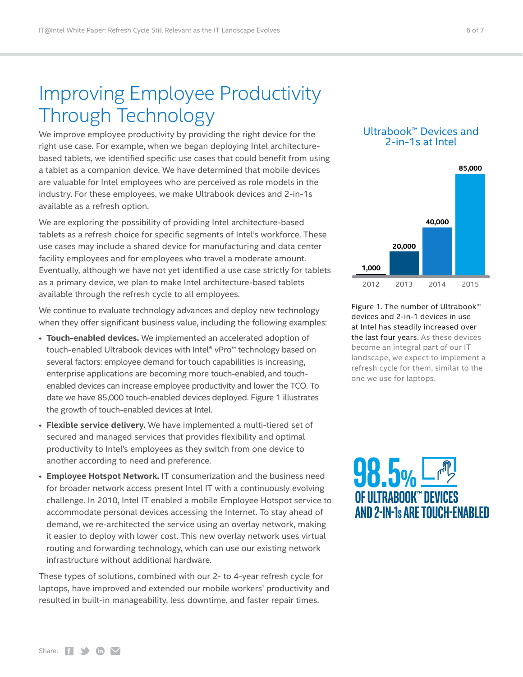## <span id="page-5-0"></span>Improving Employee Productivity Through Technology

We improve employee productivity by providing the right device for the right use case. For example, when we began deploying Intel architecturebased tablets, we identified specific use cases that could benefit from using a tablet as a companion device. We have determined that mobile devices are valuable for Intel employees who are perceived as role models in the industry. For these employees, we make Ultrabook devices and 2-in-1s available as a refresh option.

We are exploring the possibility of providing Intel architecture-based tablets as a refresh choice for specific segments of Intel's workforce. These use cases may include a shared device for manufacturing and data center facility employees and for employees who travel a moderate amount. Eventually, although we have not yet identified a use case strictly for tablets as a primary device, we plan to make Intel architecture-based tablets available through the refresh cycle to all employees.

We continue to evaluate technology advances and deploy new technology when they offer significant business value, including the following examples:

- **Touch-enabled devices.** We implemented an accelerated adoption of touch-enabled Ultrabook devices with Intel® vPro™ technology based on several factors: employee demand for touch capabilities is increasing, enterprise applications are becoming more touch-enabled, and touchenabled devices can increase employee productivity and lower the TCO. To date we have 85,000 touch-enabled devices deployed. Figure 1 illustrates the growth of touch-enabled devices at Intel.
- **Flexible service delivery.** We have implemented a multi-tiered set of secured and managed services that provides flexibility and optimal productivity to Intel's employees as they switch from one device to another according to need and preference.
- **Employee Hotspot Network.** IT consumerization and the business need for broader network access present Intel IT with a continuously evolving challenge. In 2010, Intel IT enabled a mobile Employee Hotspot service to accommodate personal devices accessing the Internet. To stay ahead of demand, we re-architected the service using an overlay network, making it easier to deploy with lower cost. This new overlay network uses virtual routing and forwarding technology, which can use our existing network infrastructure without additional hardware.

These types of solutions, combined with our 2- to 4-year refresh cycle for laptops, have improved and extended our mobile workers' productivity and resulted in built-in manageability, less downtime, and faster repair times.

#### Ultrabook™ Devices and 2-in-1s at Intel



Figure 1. The number of Ultrabook™ devices and 2-in-1 devices in use at Intel has steadily increased over the last four years. As these devices become an integral part of our IT landscape, we expect to implement a refresh cycle for them, similar to the one we use for laptops.

**98.5% OF UltraBOOK™ DeViCeS aND 2-iN-1Sare tOUCh-eNaBleD**